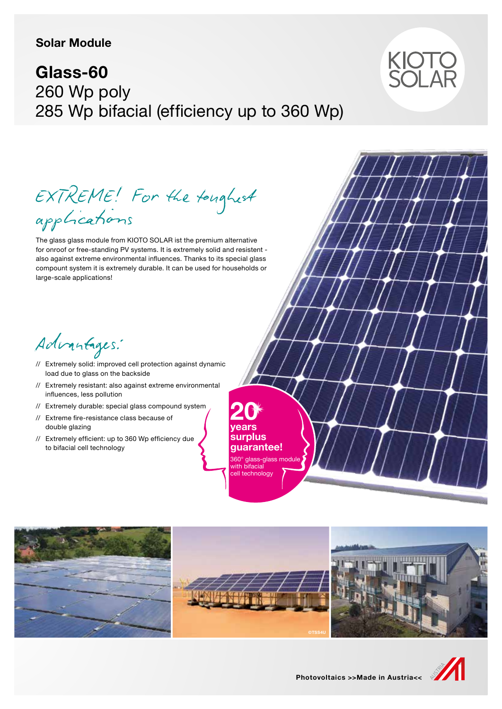### **Solar Module**

# **Glass-60** 260 Wp poly 285 Wp bifacial (efficiency up to 360 Wp)



EXTREME! For the toughest applications

The glass glass module from KIOTO SOLAR ist the premium alternative for onroof or free-standing PV systems. It is extremely solid and resistent also against extreme environmental influences. Thanks to its special glass compount system it is extremely durable. It can be used for households or large-scale applications!

Advantages:

- // Extremely solid: improved cell protection against dynamic load due to glass on the backside
- // Extremely resistant: also against extreme environmental influences, less pollution
- // Extremely durable: special glass compound system
- // Extreme fire-resistance class because of double glazing
- // Extremely efficient: up to 360 Wp efficiency due to bifacial cell technology

**20 years surplus guarantee!** 360° glass-glass module with bifacial cell technology